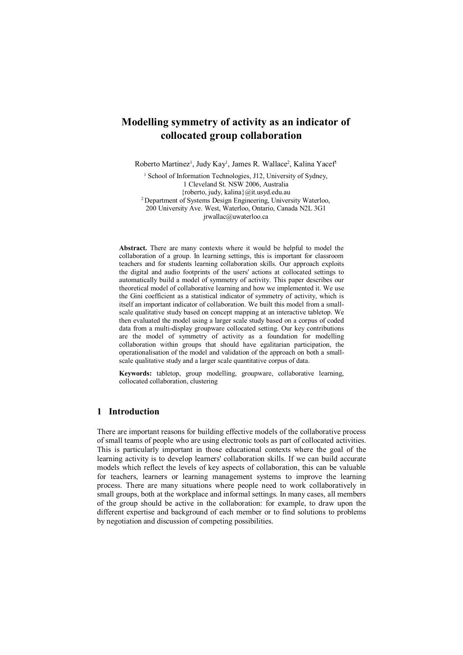# **Modelling symmetry of activity as an indicator of collocated group collaboration**

Roberto Martinez<sup>1</sup>, Judy Kay<sup>1</sup>, James R. Wallace<sup>2</sup>, Kalina Yacef<sup>1</sup>

<sup>1</sup> School of Information Technologies, J12, University of Sydney, 1 Cleveland St. NSW 2006, Australia {roberto, judy, kalina}@it.usyd.edu.au <sup>2</sup>Department of Systems Design Engineering, University Waterloo, 200 University Ave. West, Waterloo, Ontario, Canada N2L 3G1 jrwallac@uwaterloo.ca

**Abstract.** There are many contexts where it would be helpful to model the collaboration of a group. In learning settings, this is important for classroom teachers and for students learning collaboration skills. Our approach exploits the digital and audio footprints of the users' actions at collocated settings to automatically build a model of symmetry of activity. This paper describes our theoretical model of collaborative learning and how we implemented it. We use the Gini coefficient as a statistical indicator of symmetry of activity, which is itself an important indicator of collaboration. We built this model from a smallscale qualitative study based on concept mapping at an interactive tabletop. We then evaluated the model using a larger scale study based on a corpus of coded data from a multi-display groupware collocated setting. Our key contributions are the model of symmetry of activity as a foundation for modelling collaboration within groups that should have egalitarian participation, the operationalisation of the model and validation of the approach on both a smallscale qualitative study and a larger scale quantitative corpus of data.

**Keywords:** tabletop, group modelling, groupware, collaborative learning, collocated collaboration, clustering

#### **1 Introduction**

There are important reasons for building effective models of the collaborative process of small teams of people who are using electronic tools as part of collocated activities. This is particularly important in those educational contexts where the goal of the learning activity is to develop learners' collaboration skills. If we can build accurate models which reflect the levels of key aspects of collaboration, this can be valuable for teachers, learners or learning management systems to improve the learning process. There are many situations where people need to work collaboratively in small groups, both at the workplace and informal settings. In many cases, all members of the group should be active in the collaboration: for example, to draw upon the different expertise and background of each member or to find solutions to problems by negotiation and discussion of competing possibilities.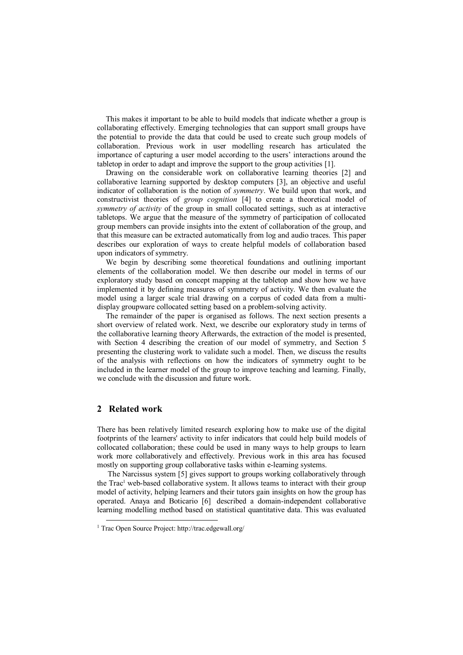This makes it important to be able to build models that indicate whether a group is collaborating effectively. Emerging technologies that can support small groups have the potential to provide the data that could be used to create such group models of collaboration. Previous work in user modelling research has articulated the importance of capturing a user model according to the users' interactions around the tabletop in order to adapt and improve the support to the group activities [1].

Drawing on the considerable work on collaborative learning theories [2] and collaborative learning supported by desktop computers [3], an objective and useful indicator of collaboration is the notion of *symmetry*. We build upon that work, and constructivist theories of *group cognition* [4] to create a theoretical model of *symmetry of activity* of the group in small collocated settings, such as at interactive tabletops. We argue that the measure of the symmetry of participation of collocated group members can provide insights into the extent of collaboration of the group, and that this measure can be extracted automatically from log and audio traces. This paper describes our exploration of ways to create helpful models of collaboration based upon indicators of symmetry.

We begin by describing some theoretical foundations and outlining important elements of the collaboration model. We then describe our model in terms of our exploratory study based on concept mapping at the tabletop and show how we have implemented it by defining measures of symmetry of activity. We then evaluate the model using a larger scale trial drawing on a corpus of coded data from a multidisplay groupware collocated setting based on a problem-solving activity.

The remainder of the paper is organised as follows. The next section presents a short overview of related work. Next, we describe our exploratory study in terms of the collaborative learning theory Afterwards, the extraction of the model is presented, with Section 4 describing the creation of our model of symmetry, and Section 5 presenting the clustering work to validate such a model. Then, we discuss the results of the analysis with reflections on how the indicators of symmetry ought to be included in the learner model of the group to improve teaching and learning. Finally, we conclude with the discussion and future work.

# **2 Related work**

1

There has been relatively limited research exploring how to make use of the digital footprints of the learners' activity to infer indicators that could help build models of collocated collaboration; these could be used in many ways to help groups to learn work more collaboratively and effectively. Previous work in this area has focused mostly on supporting group collaborative tasks within e-learning systems.

The Narcissus system [5] gives support to groups working collaboratively through the Trac<sup>1</sup> web-based collaborative system. It allows teams to interact with their group model of activity, helping learners and their tutors gain insights on how the group has operated. Anaya and Boticario [6] described a domain-independent collaborative learning modelling method based on statistical quantitative data. This was evaluated

<sup>1</sup> Trac Open Source Project: http://trac.edgewall.org/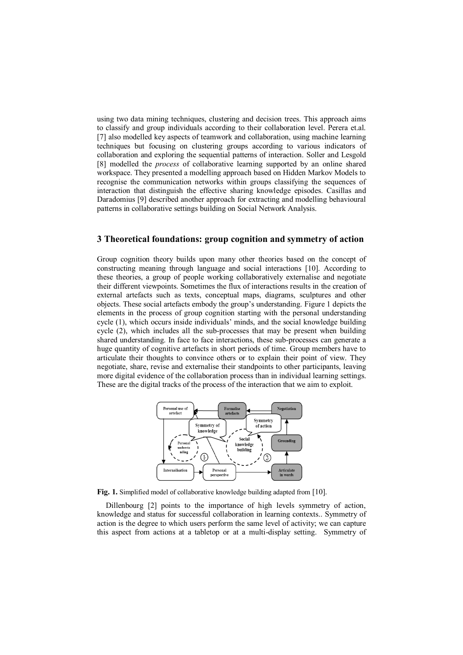using two data mining techniques, clustering and decision trees. This approach aims to classify and group individuals according to their collaboration level. Perera et.al. [7] also modelled key aspects of teamwork and collaboration, using machine learning techniques but focusing on clustering groups according to various indicators of collaboration and exploring the sequential patterns of interaction. Soller and Lesgold [8] modelled the *process* of collaborative learning supported by an online shared workspace. They presented a modelling approach based on Hidden Markov Models to recognise the communication networks within groups classifying the sequences of interaction that distinguish the effective sharing knowledge episodes. Casillas and Daradomius [9] described another approach for extracting and modelling behavioural patterns in collaborative settings building on Social Network Analysis.

# **3 Theoretical foundations: group cognition and symmetry of action**

Group cognition theory builds upon many other theories based on the concept of constructing meaning through language and social interactions [10]. According to these theories, a group of people working collaboratively externalise and negotiate their different viewpoints. Sometimes the flux of interactions results in the creation of external artefacts such as texts, conceptual maps, diagrams, sculptures and other objects. These social artefacts embody the group's understanding. Figure 1 depicts the elements in the process of group cognition starting with the personal understanding cycle (1), which occurs inside individuals' minds, and the social knowledge building cycle (2), which includes all the sub-processes that may be present when building shared understanding. In face to face interactions, these sub-processes can generate a huge quantity of cognitive artefacts in short periods of time. Group members have to articulate their thoughts to convince others or to explain their point of view. They negotiate, share, revise and externalise their standpoints to other participants, leaving more digital evidence of the collaboration process than in individual learning settings. These are the digital tracks of the process of the interaction that we aim to exploit.



**Fig. 1.** Simplified model of collaborative knowledge building adapted from [10].

Dillenbourg [2] points to the importance of high levels symmetry of action, knowledge and status for successful collaboration in learning contexts.. Symmetry of action is the degree to which users perform the same level of activity; we can capture this aspect from actions at a tabletop or at a multi-display setting. Symmetry of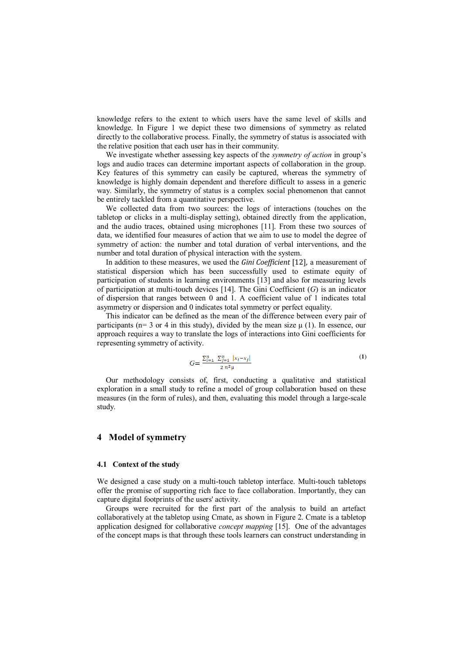knowledge refers to the extent to which users have the same level of skills and knowledge. In Figure 1 we depict these two dimensions of symmetry as related directly to the collaborative process. Finally, the symmetry of status is associated with the relative position that each user has in their community.

We investigate whether assessing key aspects of the *symmetry of action* in group's logs and audio traces can determine important aspects of collaboration in the group. Key features of this symmetry can easily be captured, whereas the symmetry of knowledge is highly domain dependent and therefore difficult to assess in a generic way. Similarly, the symmetry of status is a complex social phenomenon that cannot be entirely tackled from a quantitative perspective.

We collected data from two sources: the logs of interactions (touches on the tabletop or clicks in a multi-display setting), obtained directly from the application, and the audio traces, obtained using microphones [11]. From these two sources of data, we identified four measures of action that we aim to use to model the degree of symmetry of action: the number and total duration of verbal interventions, and the number and total duration of physical interaction with the system.

In addition to these measures, we used the *Gini Coefficient* [12], a measurement of statistical dispersion which has been successfully used to estimate equity of participation of students in learning environments [13] and also for measuring levels of participation at multi-touch devices [14]. The Gini Coefficient (*G*) is an indicator of dispersion that ranges between 0 and 1. A coefficient value of 1 indicates total asymmetry or dispersion and 0 indicates total symmetry or perfect equality.

This indicator can be defined as the mean of the difference between every pair of participants ( $n=3$  or 4 in this study), divided by the mean size  $\mu$  (1). In essence, our approach requires a way to translate the logs of interactions into Gini coefficients for representing symmetry of activity.

$$
G = \frac{\sum_{i=1}^{n} \sum_{j=1}^{n} |x_i - x_j|}{2 n^2 \mu}
$$
 (1)

Our methodology consists of, first, conducting a qualitative and statistical exploration in a small study to refine a model of group collaboration based on these measures (in the form of rules), and then, evaluating this model through a large-scale study.

# **4 Model of symmetry**

#### **4.1 Context of the study**

We designed a case study on a multi-touch tabletop interface. Multi-touch tabletops offer the promise of supporting rich face to face collaboration. Importantly, they can capture digital footprints of the users' activity.

Groups were recruited for the first part of the analysis to build an artefact collaboratively at the tabletop using Cmate, as shown in Figure 2. Cmate is a tabletop application designed for collaborative *concept mapping* [15]. One of the advantages of the concept maps is that through these tools learners can construct understanding in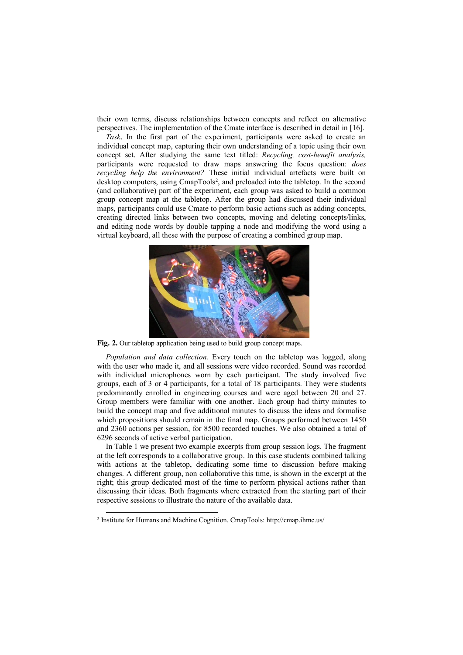their own terms, discuss relationships between concepts and reflect on alternative perspectives. The implementation of the Cmate interface is described in detail in [16].

*Task*. In the first part of the experiment, participants were asked to create an individual concept map, capturing their own understanding of a topic using their own concept set. After studying the same text titled: *Recycling, cost-benefit analysis,* participants were requested to draw maps answering the focus question: *does recycling help the environment?* These initial individual artefacts were built on desktop computers, using CmapTools<sup>2</sup> , and preloaded into the tabletop. In the second (and collaborative) part of the experiment, each group was asked to build a common group concept map at the tabletop. After the group had discussed their individual maps, participants could use Cmate to perform basic actions such as adding concepts, creating directed links between two concepts, moving and deleting concepts/links, and editing node words by double tapping a node and modifying the word using a virtual keyboard, all these with the purpose of creating a combined group map.



Fig. 2. Our tabletop application being used to build group concept maps.

*Population and data collection.* Every touch on the tabletop was logged, along with the user who made it, and all sessions were video recorded. Sound was recorded with individual microphones worn by each participant. The study involved five groups, each of 3 or 4 participants, for a total of 18 participants. They were students predominantly enrolled in engineering courses and were aged between 20 and 27. Group members were familiar with one another. Each group had thirty minutes to build the concept map and five additional minutes to discuss the ideas and formalise which propositions should remain in the final map. Groups performed between 1450 and 2360 actions per session, for 8500 recorded touches. We also obtained a total of 6296 seconds of active verbal participation.

In Table 1 we present two example excerpts from group session logs. The fragment at the left corresponds to a collaborative group. In this case students combined talking with actions at the tabletop, dedicating some time to discussion before making changes. A different group, non collaborative this time, is shown in the excerpt at the right; this group dedicated most of the time to perform physical actions rather than discussing their ideas. Both fragments where extracted from the starting part of their respective sessions to illustrate the nature of the available data.

-

<sup>2</sup> Institute for Humans and Machine Cognition. CmapTools: http://cmap.ihmc.us/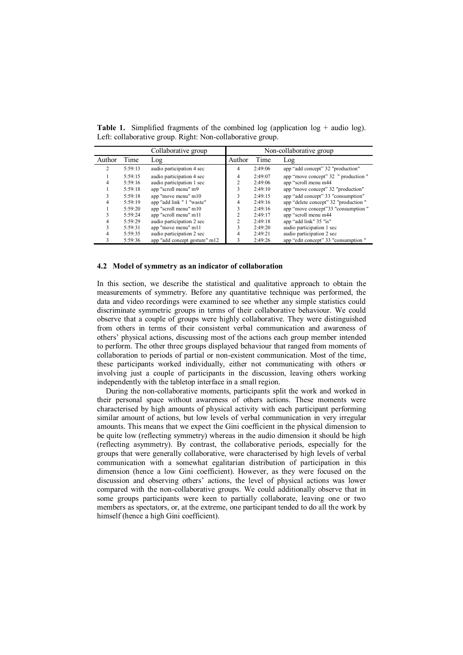|        | Collaborative group | Non-collaborative group       |                |         |                                      |
|--------|---------------------|-------------------------------|----------------|---------|--------------------------------------|
| Author | Time                | Log                           | Author         | Time    | Log                                  |
| 2      | 5:59:13             | audio participation 4 sec     | 4              | 2.49.06 | app "add concept" 32 "production"    |
|        | 5:59:15             | audio participation 4 sec     | 4              | 2.49:07 | app "move concept" 32 " production " |
|        | 5:59:16             | audio participation 1 sec     | $\overline{c}$ | 2:49:06 | app "scroll menu m44                 |
|        | 5:59:18             | app "scroll menu" m9          | 3              | 2.49:10 | app "move concept" 32 "production"   |
|        | 5:59:18             | app "move menu" m10           | 3              | 2.49:15 | app "add concept" 33 "consumption"   |
| 4      | 5:59:19             | app "add link " 1 "waste"     | 4              | 2.49:16 | app "delete concept" 32 "production" |
|        | 5:59:20             | app "scroll menu" m10         | 3              | 2:49:16 | app "move concept"33 "consumption"   |
|        | 5:59:24             | app "scroll menu" m11         | 2              | 2.49:17 | app "scroll menu m44                 |
|        | 5:59:29             | audio participation 2 sec     | $\overline{c}$ | 2.49:18 | app "add link" 35 "is"               |
|        | 5:59:31             | app "move menu" m11           | 3              | 2.49.20 | audio participation 1 sec            |
|        | 5:59:35             | audio participation 2 sec     | 4              | 2.49:21 | audio participation 2 sec            |
|        | 5:59:36             | app "add concept gesture" m12 |                | 2:49:26 | app "edit concept" 33 "consumption"  |

**Table 1.** Simplified fragments of the combined log (application  $log +$  audio  $log$ ). Left: collaborative group. Right: Non-collaborative group.

#### **4.2 Model of symmetry as an indicator of collaboration**

In this section, we describe the statistical and qualitative approach to obtain the measurements of symmetry. Before any quantitative technique was performed, the data and video recordings were examined to see whether any simple statistics could discriminate symmetric groups in terms of their collaborative behaviour. We could observe that a couple of groups were highly collaborative. They were distinguished from others in terms of their consistent verbal communication and awareness of others' physical actions, discussing most of the actions each group member intended to perform. The other three groups displayed behaviour that ranged from moments of collaboration to periods of partial or non-existent communication. Most of the time, these participants worked individually, either not communicating with others or involving just a couple of participants in the discussion, leaving others working independently with the tabletop interface in a small region.

During the non-collaborative moments, participants split the work and worked in their personal space without awareness of others actions. These moments were characterised by high amounts of physical activity with each participant performing similar amount of actions, but low levels of verbal communication in very irregular amounts. This means that we expect the Gini coefficient in the physical dimension to be quite low (reflecting symmetry) whereas in the audio dimension it should be high (reflecting asymmetry). By contrast, the collaborative periods, especially for the groups that were generally collaborative, were characterised by high levels of verbal communication with a somewhat egalitarian distribution of participation in this dimension (hence a low Gini coefficient). However, as they were focused on the discussion and observing others' actions, the level of physical actions was lower compared with the non-collaborative groups. We could additionally observe that in some groups participants were keen to partially collaborate, leaving one or two members as spectators, or, at the extreme, one participant tended to do all the work by himself (hence a high Gini coefficient).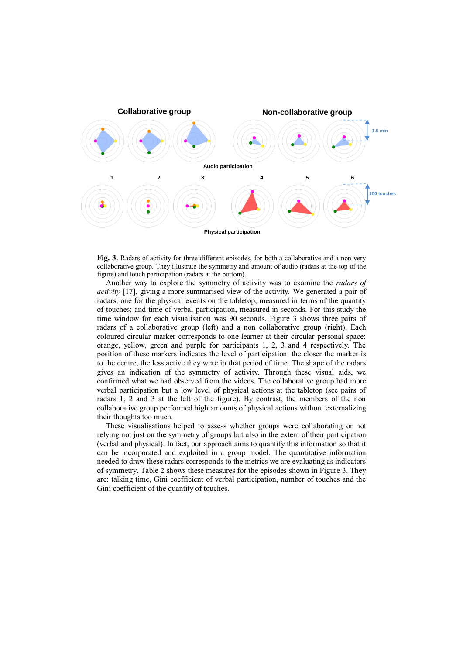

**Fig. 3.** Radars of activity for three different episodes, for both a collaborative and a non very collaborative group. They illustrate the symmetry and amount of audio (radars at the top of the figure) and touch participation (radars at the bottom).

Another way to explore the symmetry of activity was to examine the *radars of activity* [17], giving a more summarised view of the activity*.* We generated a pair of radars, one for the physical events on the tabletop, measured in terms of the quantity of touches; and time of verbal participation, measured in seconds. For this study the time window for each visualisation was 90 seconds. Figure 3 shows three pairs of radars of a collaborative group (left) and a non collaborative group (right). Each coloured circular marker corresponds to one learner at their circular personal space: orange, yellow, green and purple for participants 1, 2, 3 and 4 respectively. The position of these markers indicates the level of participation: the closer the marker is to the centre, the less active they were in that period of time. The shape of the radars gives an indication of the symmetry of activity. Through these visual aids, we confirmed what we had observed from the videos. The collaborative group had more verbal participation but a low level of physical actions at the tabletop (see pairs of radars 1, 2 and 3 at the left of the figure). By contrast, the members of the non collaborative group performed high amounts of physical actions without externalizing their thoughts too much.

These visualisations helped to assess whether groups were collaborating or not relying not just on the symmetry of groups but also in the extent of their participation (verbal and physical). In fact, our approach aims to quantify this information so that it can be incorporated and exploited in a group model. The quantitative information needed to draw these radars corresponds to the metrics we are evaluating as indicators of symmetry. Table 2 shows these measures for the episodes shown in Figure 3. They are: talking time, Gini coefficient of verbal participation, number of touches and the Gini coefficient of the quantity of touches.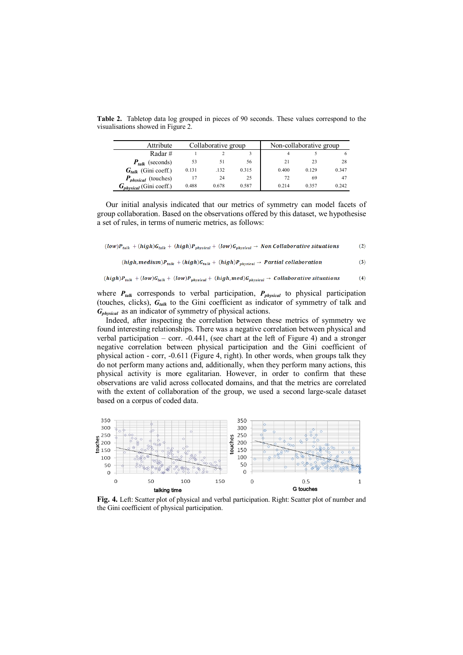| Attribute                       |       | Collaborative group |       | Non-collaborative group |       |       |  |
|---------------------------------|-------|---------------------|-------|-------------------------|-------|-------|--|
| Radar#                          |       |                     |       |                         |       |       |  |
| $P_{talk}$ (seconds)            | 53    | 51                  | 56    | 21                      |       | 28    |  |
| $G_{\text{talk}}$ (Gini coeff.) | 0.131 | .132                | 0.315 | 0.400                   | 0.129 | 0.347 |  |
| $P_{physical}$ (touches)        |       | 24                  | 25    | 72                      | 69    | 47    |  |
| $G_{physical}$ (Gini coeff.)    | 0.488 | 0.678               | 0.587 | 0.214                   | 0.357 | 0.242 |  |

**Table 2.** Tabletop data log grouped in pieces of 90 seconds. These values correspond to the visualisations showed in Figure 2.

Our initial analysis indicated that our metrics of symmetry can model facets of group collaboration. Based on the observations offered by this dataset, we hypothesise a set of rules, in terms of numeric metrics, as follows:

 $(low)P_{talk} + (high)G_{talk} + (high)P_{physical} + (low)G_{physical} \rightarrow Non\,$  Collaborative situations  $(2)$ 

 $(high, medium)P_{talk} + (high)G_{talk} + (high)P_{physical} \rightarrow Partial~collaboration$  $(3)$ 

$$
(high)P_{talk} + (low)G_{talk} + (low)P_{physical} + (high, med)G_{physical} \rightarrow Collaborative situations \qquad (4)
$$

where *Ptalk* corresponds to verbal participation, *Pphysical* to physical participation (touches, clicks), *Gtalk* to the Gini coefficient as indicator of symmetry of talk and *Gphysical* as an indicator of symmetry of physical actions.

Indeed, after inspecting the correlation between these metrics of symmetry we found interesting relationships. There was a negative correlation between physical and verbal participation – corr.  $-0.441$ , (see chart at the left of Figure 4) and a stronger negative correlation between physical participation and the Gini coefficient of physical action - corr, -0.611 (Figure 4, right). In other words, when groups talk they do not perform many actions and, additionally, when they perform many actions, this physical activity is more egalitarian. However, in order to confirm that these observations are valid across collocated domains, and that the metrics are correlated with the extent of collaboration of the group, we used a second large-scale dataset based on a corpus of coded data.



**Fig. 4.** Left: Scatter plot of physical and verbal participation. Right: Scatter plot of number and the Gini coefficient of physical participation.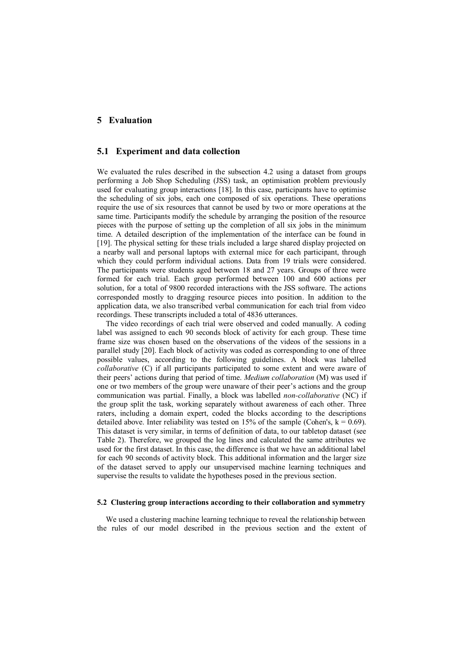# **5 Evaluation**

# **5.1 Experiment and data collection**

We evaluated the rules described in the subsection 4.2 using a dataset from groups performing a Job Shop Scheduling (JSS) task, an optimisation problem previously used for evaluating group interactions [18]. In this case, participants have to optimise the scheduling of six jobs, each one composed of six operations. These operations require the use of six resources that cannot be used by two or more operations at the same time. Participants modify the schedule by arranging the position of the resource pieces with the purpose of setting up the completion of all six jobs in the minimum time. A detailed description of the implementation of the interface can be found in [19]. The physical setting for these trials included a large shared display projected on a nearby wall and personal laptops with external mice for each participant, through which they could perform individual actions. Data from 19 trials were considered. The participants were students aged between 18 and 27 years. Groups of three were formed for each trial. Each group performed between 100 and 600 actions per solution, for a total of 9800 recorded interactions with the JSS software. The actions corresponded mostly to dragging resource pieces into position. In addition to the application data, we also transcribed verbal communication for each trial from video recordings. These transcripts included a total of 4836 utterances.

The video recordings of each trial were observed and coded manually. A coding label was assigned to each 90 seconds block of activity for each group. These time frame size was chosen based on the observations of the videos of the sessions in a parallel study [20]. Each block of activity was coded as corresponding to one of three possible values, according to the following guidelines. A block was labelled *collaborative* (C) if all participants participated to some extent and were aware of their peers' actions during that period of time. *Medium collaboration* (M) was used if one or two members of the group were unaware of their peer's actions and the group communication was partial. Finally, a block was labelled *non-collaborative* (NC) if the group split the task, working separately without awareness of each other. Three raters, including a domain expert, coded the blocks according to the descriptions detailed above. Inter reliability was tested on 15% of the sample (Cohen's,  $k = 0.69$ ). This dataset is very similar, in terms of definition of data, to our tabletop dataset (see Table 2). Therefore, we grouped the log lines and calculated the same attributes we used for the first dataset. In this case, the difference is that we have an additional label for each 90 seconds of activity block. This additional information and the larger size of the dataset served to apply our unsupervised machine learning techniques and supervise the results to validate the hypotheses posed in the previous section.

#### **5.2 Clustering group interactions according to their collaboration and symmetry**

We used a clustering machine learning technique to reveal the relationship between the rules of our model described in the previous section and the extent of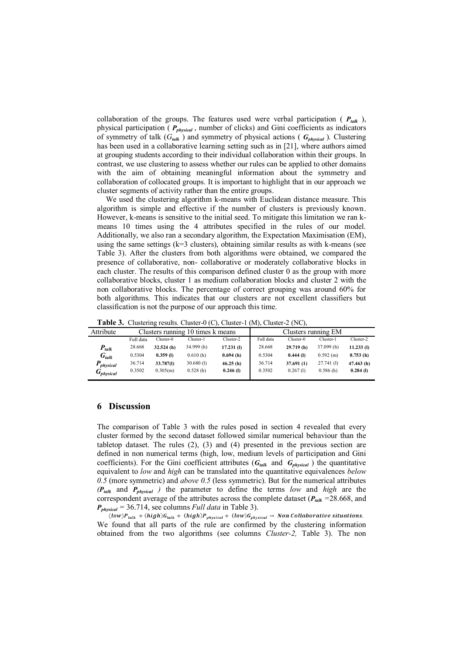collaboration of the groups. The features used were verbal participation ( $P_{t a t k}$ ). physical participation ( *Pphysical* , number of clicks) and Gini coefficients as indicators of symmetry of talk (*Gtalk* ) and symmetry of physical actions ( *Gphysical* ). Clustering has been used in a collaborative learning setting such as in [21], where authors aimed at grouping students according to their individual collaboration within their groups. In contrast, we use clustering to assess whether our rules can be applied to other domains with the aim of obtaining meaningful information about the symmetry and collaboration of collocated groups. It is important to highlight that in our approach we cluster segments of activity rather than the entire groups.

We used the clustering algorithm k-means with Euclidean distance measure. This algorithm is simple and effective if the number of clusters is previously known. However, k-means is sensitive to the initial seed. To mitigate this limitation we ran kmeans 10 times using the 4 attributes specified in the rules of our model. Additionally, we also ran a secondary algorithm, the Expectation Maximisation (EM), using the same settings  $(k=3$  clusters), obtaining similar results as with k-means (see Table 3). After the clusters from both algorithms were obtained, we compared the presence of collaborative, non- collaborative or moderately collaborative blocks in each cluster. The results of this comparison defined cluster 0 as the group with more collaborative blocks, cluster 1 as medium collaboration blocks and cluster 2 with the non collaborative blocks. The percentage of correct grouping was around 60% for both algorithms. This indicates that our clusters are not excellent classifiers but classification is not the purpose of our approach this time.

**Table 3.** Clustering results. Cluster-0 (C), Cluster-1 (M), Cluster-2 (NC),

| Attribute               | Clusters running 10 times k means |             |           | Clusters running EM |           |           |              |             |
|-------------------------|-----------------------------------|-------------|-----------|---------------------|-----------|-----------|--------------|-------------|
|                         | Full data                         | Cluster-0   | Cluster-1 | Cluster-2           | Full data | Cluster-0 | Cluster-1    | Cluster-2   |
| $P_{talk}$              | 28.668                            | 32.524(h)   | 34.999(h) | 17.231(l)           | 28.668    | 29.719(h) | 37.099 (h)   | 11.233(l)   |
| $G_{talk}$              | 0.5304                            | $0.359$ (l) | 0.610(h)  | 0.694(h)            | 0.5304    | 0.444(l)  | $0.592$ (m)  | 0.753(h)    |
| physical                | 36.714                            | 33.787(1)   | 30.680(l) | 46.25(h)            | 36.714    | 37.691(1) | $27.741$ (l) | 47.463(h)   |
| $G_{\textit{physical}}$ | 0.3502                            | 0.305(m)    | 0.528(h)  | 0.246(l)            | 0.3502    | 0.267(l)  | 0.586(h)     | $0.284$ (l) |
|                         |                                   |             |           |                     |           |           |              |             |

#### **6 Discussion**

The comparison of Table 3 with the rules posed in section 4 revealed that every cluster formed by the second dataset followed similar numerical behaviour than the tabletop dataset. The rules (2), (3) and (4) presented in the previous section are defined in non numerical terms (high, low, medium levels of participation and Gini coefficients). For the Gini coefficient attributes (*Gtalk* and *Gphysical* ) the quantitative equivalent to *low* and *high* can be translated into the quantitative equivalences *below 0.5* (more symmetric) and *above 0.5* (less symmetric). But for the numerical attributes *(Ptalk* and *Pphysical )* the parameter to define the terms *low* and *high* are the correspondent average of the attributes across the complete dataset ( $P_{\text{tak}} = 28.668$ , and  $P_{physical} = 36.714$ , see columns *Full data* in Table 3).<br>(*low*) $P_{talk} + (high)G_{talk} + (high)P_{physical} + (low)G_{physical} \rightarrow Non Collaborative situations.$ 

We found that all parts of the rule are confirmed by the clustering information obtained from the two algorithms (see columns *Cluster-2,* Table 3). The non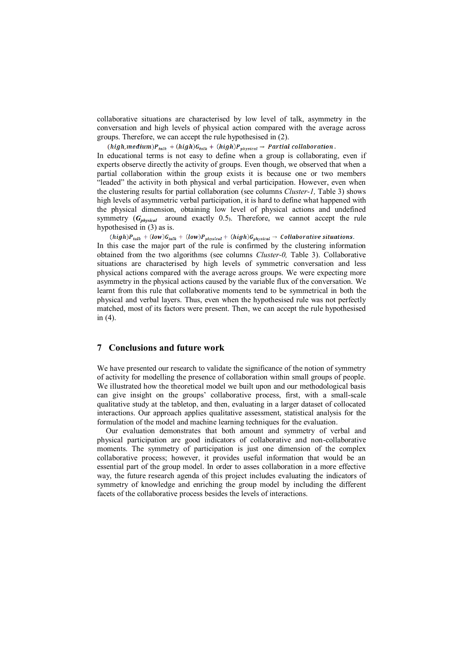collaborative situations are characterised by low level of talk, asymmetry in the conversation and high levels of physical action compared with the average across groups. Therefore, we can accept the rule hypothesised in (2).

 $(high, medium) P_{talk} \, + \, (high) G_{talk} \, + \, (high) P_{physical} \, \rightarrow \, Partial \, collaboration \, .$ 

In educational terms is not easy to define when a group is collaborating, even if experts observe directly the activity of groups. Even though, we observed that when a partial collaboration within the group exists it is because one or two members "leaded" the activity in both physical and verbal participation. However, even when the clustering results for partial collaboration (see columns *Cluster-1,* Table 3) shows high levels of asymmetric verbal participation, it is hard to define what happened with the physical dimension, obtaining low level of physical actions and undefined symmetry  $(G_{\text{physical}}$  around exactly 0.5). Therefore, we cannot accept the rule hypothesised in (3) as is.

 $(high)P_{talk} + (low)G_{talk} + (low)P_{physical} + (high)G_{physical} \rightarrow Collaborative situations.$ In this case the major part of the rule is confirmed by the clustering information obtained from the two algorithms (see columns *Cluster-0,* Table 3). Collaborative situations are characterised by high levels of symmetric conversation and less physical actions compared with the average across groups. We were expecting more asymmetry in the physical actions caused by the variable flux of the conversation. We learnt from this rule that collaborative moments tend to be symmetrical in both the physical and verbal layers. Thus, even when the hypothesised rule was not perfectly matched, most of its factors were present. Then, we can accept the rule hypothesised in (4).

# **7 Conclusions and future work**

We have presented our research to validate the significance of the notion of symmetry of activity for modelling the presence of collaboration within small groups of people. We illustrated how the theoretical model we built upon and our methodological basis can give insight on the groups' collaborative process, first, with a small-scale qualitative study at the tabletop, and then, evaluating in a larger dataset of collocated interactions. Our approach applies qualitative assessment, statistical analysis for the formulation of the model and machine learning techniques for the evaluation.

Our evaluation demonstrates that both amount and symmetry of verbal and physical participation are good indicators of collaborative and non-collaborative moments. The symmetry of participation is just one dimension of the complex collaborative process; however, it provides useful information that would be an essential part of the group model. In order to asses collaboration in a more effective way, the future research agenda of this project includes evaluating the indicators of symmetry of knowledge and enriching the group model by including the different facets of the collaborative process besides the levels of interactions.